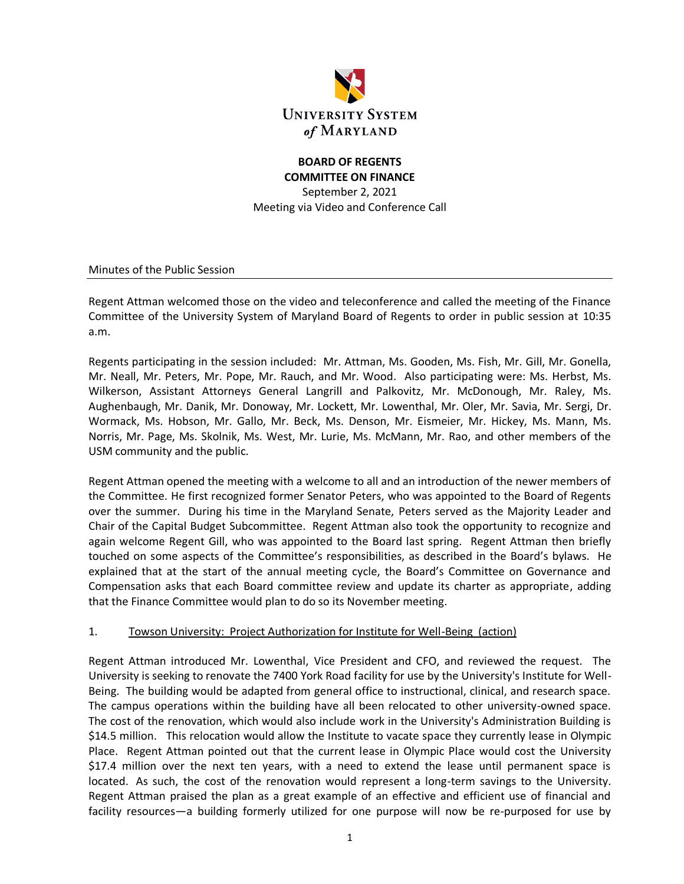

# **BOARD OF REGENTS COMMITTEE ON FINANCE**

September 2, 2021 Meeting via Video and Conference Call

Minutes of the Public Session

Regent Attman welcomed those on the video and teleconference and called the meeting of the Finance Committee of the University System of Maryland Board of Regents to order in public session at 10:35 a.m.

Regents participating in the session included: Mr. Attman, Ms. Gooden, Ms. Fish, Mr. Gill, Mr. Gonella, Mr. Neall, Mr. Peters, Mr. Pope, Mr. Rauch, and Mr. Wood. Also participating were: Ms. Herbst, Ms. Wilkerson, Assistant Attorneys General Langrill and Palkovitz, Mr. McDonough, Mr. Raley, Ms. Aughenbaugh, Mr. Danik, Mr. Donoway, Mr. Lockett, Mr. Lowenthal, Mr. Oler, Mr. Savia, Mr. Sergi, Dr. Wormack, Ms. Hobson, Mr. Gallo, Mr. Beck, Ms. Denson, Mr. Eismeier, Mr. Hickey, Ms. Mann, Ms. Norris, Mr. Page, Ms. Skolnik, Ms. West, Mr. Lurie, Ms. McMann, Mr. Rao, and other members of the USM community and the public.

Regent Attman opened the meeting with a welcome to all and an introduction of the newer members of the Committee. He first recognized former Senator Peters, who was appointed to the Board of Regents over the summer. During his time in the Maryland Senate, Peters served as the Majority Leader and Chair of the Capital Budget Subcommittee. Regent Attman also took the opportunity to recognize and again welcome Regent Gill, who was appointed to the Board last spring. Regent Attman then briefly touched on some aspects of the Committee's responsibilities, as described in the Board's bylaws. He explained that at the start of the annual meeting cycle, the Board's Committee on Governance and Compensation asks that each Board committee review and update its charter as appropriate, adding that the Finance Committee would plan to do so its November meeting.

#### 1. Towson University: Project Authorization for Institute for Well-Being (action)

Regent Attman introduced Mr. Lowenthal, Vice President and CFO, and reviewed the request. The University is seeking to renovate the 7400 York Road facility for use by the University's Institute for Well-Being. The building would be adapted from general office to instructional, clinical, and research space. The campus operations within the building have all been relocated to other university-owned space. The cost of the renovation, which would also include work in the University's Administration Building is \$14.5 million. This relocation would allow the Institute to vacate space they currently lease in Olympic Place. Regent Attman pointed out that the current lease in Olympic Place would cost the University \$17.4 million over the next ten years, with a need to extend the lease until permanent space is located. As such, the cost of the renovation would represent a long-term savings to the University. Regent Attman praised the plan as a great example of an effective and efficient use of financial and facility resources—a building formerly utilized for one purpose will now be re-purposed for use by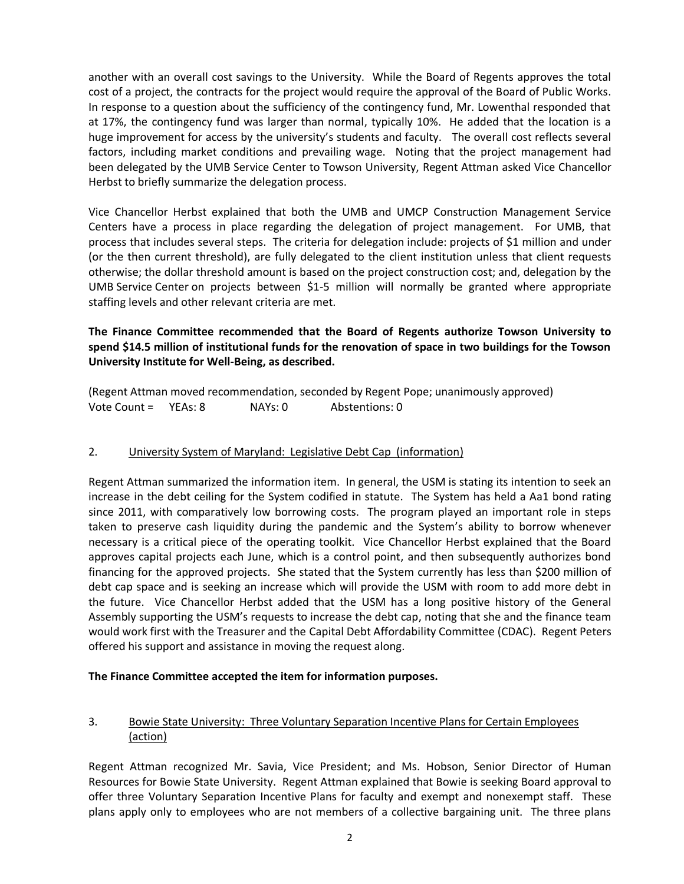another with an overall cost savings to the University. While the Board of Regents approves the total cost of a project, the contracts for the project would require the approval of the Board of Public Works. In response to a question about the sufficiency of the contingency fund, Mr. Lowenthal responded that at 17%, the contingency fund was larger than normal, typically 10%. He added that the location is a huge improvement for access by the university's students and faculty. The overall cost reflects several factors, including market conditions and prevailing wage. Noting that the project management had been delegated by the UMB Service Center to Towson University, Regent Attman asked Vice Chancellor Herbst to briefly summarize the delegation process.

Vice Chancellor Herbst explained that both the UMB and UMCP Construction Management Service Centers have a process in place regarding the delegation of project management. For UMB, that process that includes several steps. The criteria for delegation include: projects of \$1 million and under (or the then current threshold), are fully delegated to the client institution unless that client requests otherwise; the dollar threshold amount is based on the project construction cost; and, delegation by the UMB Service Center on projects between \$1-5 million will normally be granted where appropriate staffing levels and other relevant criteria are met.

## **The Finance Committee recommended that the Board of Regents authorize Towson University to spend \$14.5 million of institutional funds for the renovation of space in two buildings for the Towson University Institute for Well-Being, as described.**

(Regent Attman moved recommendation, seconded by Regent Pope; unanimously approved) Vote Count = YEAs: 8 NAYs: 0 Abstentions: 0

#### 2. University System of Maryland: Legislative Debt Cap (information)

Regent Attman summarized the information item. In general, the USM is stating its intention to seek an increase in the debt ceiling for the System codified in statute. The System has held a Aa1 bond rating since 2011, with comparatively low borrowing costs. The program played an important role in steps taken to preserve cash liquidity during the pandemic and the System's ability to borrow whenever necessary is a critical piece of the operating toolkit. Vice Chancellor Herbst explained that the Board approves capital projects each June, which is a control point, and then subsequently authorizes bond financing for the approved projects. She stated that the System currently has less than \$200 million of debt cap space and is seeking an increase which will provide the USM with room to add more debt in the future. Vice Chancellor Herbst added that the USM has a long positive history of the General Assembly supporting the USM's requests to increase the debt cap, noting that she and the finance team would work first with the Treasurer and the Capital Debt Affordability Committee (CDAC). Regent Peters offered his support and assistance in moving the request along.

#### **The Finance Committee accepted the item for information purposes.**

### 3. Bowie State University: Three Voluntary Separation Incentive Plans for Certain Employees (action)

Regent Attman recognized Mr. Savia, Vice President; and Ms. Hobson, Senior Director of Human Resources for Bowie State University. Regent Attman explained that Bowie is seeking Board approval to offer three Voluntary Separation Incentive Plans for faculty and exempt and nonexempt staff. These plans apply only to employees who are not members of a collective bargaining unit. The three plans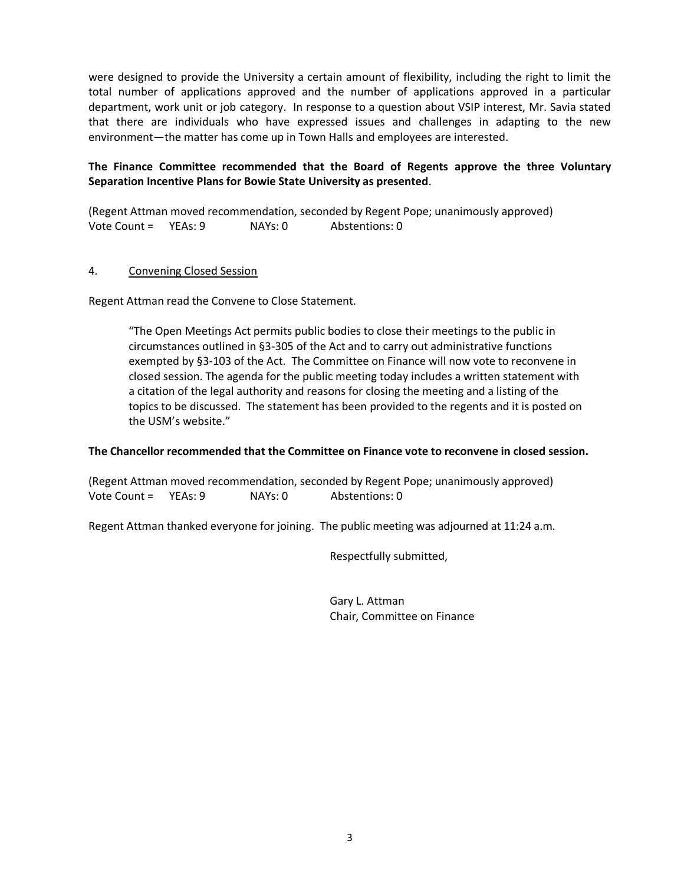were designed to provide the University a certain amount of flexibility, including the right to limit the total number of applications approved and the number of applications approved in a particular department, work unit or job category. In response to a question about VSIP interest, Mr. Savia stated that there are individuals who have expressed issues and challenges in adapting to the new environment—the matter has come up in Town Halls and employees are interested.

## **The Finance Committee recommended that the Board of Regents approve the three Voluntary Separation Incentive Plans for Bowie State University as presented**.

(Regent Attman moved recommendation, seconded by Regent Pope; unanimously approved) Vote Count = YEAs: 9 NAYs: 0 Abstentions: 0

#### 4. Convening Closed Session

Regent Attman read the Convene to Close Statement.

"The Open Meetings Act permits public bodies to close their meetings to the public in circumstances outlined in §3-305 of the Act and to carry out administrative functions exempted by §3-103 of the Act. The Committee on Finance will now vote to reconvene in closed session. The agenda for the public meeting today includes a written statement with a citation of the legal authority and reasons for closing the meeting and a listing of the topics to be discussed. The statement has been provided to the regents and it is posted on the USM's website."

#### **The Chancellor recommended that the Committee on Finance vote to reconvene in closed session.**

(Regent Attman moved recommendation, seconded by Regent Pope; unanimously approved) Vote Count = YEAs: 9 NAYs: 0 Abstentions: 0

Regent Attman thanked everyone for joining. The public meeting was adjourned at 11:24 a.m.

Respectfully submitted,

Gary L. Attman Chair, Committee on Finance